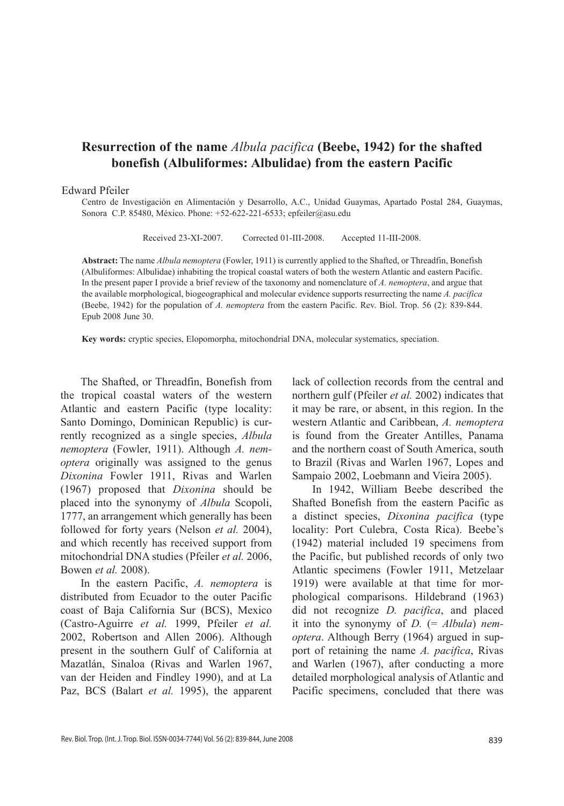# **Resurrection of the name** *Albula pacifica* **(Beebe, 1942) for the shafted bonefish (Albuliformes: Albulidae) from the eastern Pacific**

### Edward Pfeiler

Centro de Investigación en Alimentación y Desarrollo, A.C., Unidad Guaymas, Apartado Postal 284, Guaymas, Sonora C.P. 85480, México. Phone: +52-622-221-6533; epfeiler@asu.edu

Received 23-XI-2007. Corrected 01-III-2008. Accepted 11-III-2008.

**Abstract:** The name *Albula nemoptera* (Fowler, 1911) is currently applied to the Shafted, or Threadfin, Bonefish (Albuliformes: Albulidae) inhabiting the tropical coastal waters of both the western Atlantic and eastern Pacific. In the present paper I provide a brief review of the taxonomy and nomenclature of *A. nemoptera*, and argue that the available morphological, biogeographical and molecular evidence supports resurrecting the name *A. pacifica* (Beebe, 1942) for the population of *A. nemoptera* from the eastern Pacific. Rev. Biol. Trop. 56 (2): 839-844. Epub 2008 June 30.

**Key words:** cryptic species, Elopomorpha, mitochondrial DNA, molecular systematics, speciation.

The Shafted, or Threadfin, Bonefish from the tropical coastal waters of the western Atlantic and eastern Pacific (type locality: Santo Domingo, Dominican Republic) is currently recognized as a single species, *Albula nemoptera* (Fowler, 1911). Although *A. nemoptera* originally was assigned to the genus *Dixonina* Fowler 1911, Rivas and Warlen (1967) proposed that *Dixonina* should be placed into the synonymy of *Albula* Scopoli, 1777, an arrangement which generally has been followed for forty years (Nelson *et al.* 2004), and which recently has received support from mitochondrial DNA studies (Pfeiler *et al.* 2006, Bowen *et al.* 2008).

In the eastern Pacific, *A. nemoptera* is distributed from Ecuador to the outer Pacific coast of Baja California Sur (BCS), Mexico (Castro-Aguirre *et al.* 1999, Pfeiler *et al.* 2002, Robertson and Allen 2006). Although present in the southern Gulf of California at Mazatlán, Sinaloa (Rivas and Warlen 1967, van der Heiden and Findley 1990), and at La Paz, BCS (Balart *et al.* 1995), the apparent

lack of collection records from the central and northern gulf (Pfeiler *et al.* 2002) indicates that it may be rare, or absent, in this region. In the western Atlantic and Caribbean, *A. nemoptera* is found from the Greater Antilles, Panama and the northern coast of South America, south to Brazil (Rivas and Warlen 1967, Lopes and Sampaio 2002, Loebmann and Vieira 2005).

In 1942, William Beebe described the Shafted Bonefish from the eastern Pacific as a distinct species, *Dixonina pacifica* (type locality: Port Culebra, Costa Rica). Beebe's (1942) material included 19 specimens from the Pacific, but published records of only two Atlantic specimens (Fowler 1911, Metzelaar 1919) were available at that time for morphological comparisons. Hildebrand (1963) did not recognize *D. pacifica*, and placed it into the synonymy of *D.* (= *Albula*) *nemoptera*. Although Berry (1964) argued in support of retaining the name *A. pacifica*, Rivas and Warlen (1967), after conducting a more detailed morphological analysis of Atlantic and Pacific specimens, concluded that there was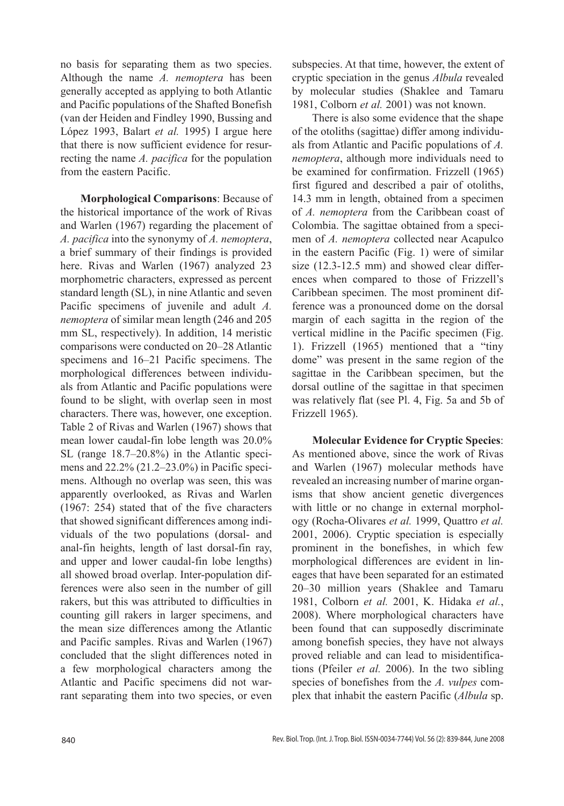no basis for separating them as two species. Although the name *A. nemoptera* has been generally accepted as applying to both Atlantic and Pacific populations of the Shafted Bonefish (van der Heiden and Findley 1990, Bussing and López 1993, Balart *et al.* 1995) I argue here that there is now sufficient evidence for resurrecting the name *A. pacifica* for the population from the eastern Pacific.

**Morphological Comparisons**: Because of the historical importance of the work of Rivas and Warlen (1967) regarding the placement of *A. pacifica* into the synonymy of *A. nemoptera*, a brief summary of their findings is provided here. Rivas and Warlen (1967) analyzed 23 morphometric characters, expressed as percent standard length (SL), in nine Atlantic and seven Pacific specimens of juvenile and adult *A. nemoptera* of similar mean length (246 and 205 mm SL, respectively). In addition, 14 meristic comparisons were conducted on 20–28 Atlantic specimens and 16–21 Pacific specimens. The morphological differences between individuals from Atlantic and Pacific populations were found to be slight, with overlap seen in most characters. There was, however, one exception. Table 2 of Rivas and Warlen (1967) shows that mean lower caudal-fin lobe length was 20.0% SL (range 18.7–20.8%) in the Atlantic specimens and 22.2% (21.2–23.0%) in Pacific specimens. Although no overlap was seen, this was apparently overlooked, as Rivas and Warlen (1967: 254) stated that of the five characters that showed significant differences among individuals of the two populations (dorsal- and anal-fin heights, length of last dorsal-fin ray, and upper and lower caudal-fin lobe lengths) all showed broad overlap. Inter-population differences were also seen in the number of gill rakers, but this was attributed to difficulties in counting gill rakers in larger specimens, and the mean size differences among the Atlantic and Pacific samples. Rivas and Warlen (1967) concluded that the slight differences noted in a few morphological characters among the Atlantic and Pacific specimens did not warrant separating them into two species, or even

subspecies. At that time, however, the extent of cryptic speciation in the genus *Albula* revealed by molecular studies (Shaklee and Tamaru 1981, Colborn *et al.* 2001) was not known.

There is also some evidence that the shape of the otoliths (sagittae) differ among individuals from Atlantic and Pacific populations of *A. nemoptera*, although more individuals need to be examined for confirmation. Frizzell (1965) first figured and described a pair of otoliths, 14.3 mm in length, obtained from a specimen of *A. nemoptera* from the Caribbean coast of Colombia. The sagittae obtained from a specimen of *A. nemoptera* collected near Acapulco in the eastern Pacific (Fig. 1) were of similar size (12.3-12.5 mm) and showed clear differences when compared to those of Frizzell's Caribbean specimen. The most prominent difference was a pronounced dome on the dorsal margin of each sagitta in the region of the vertical midline in the Pacific specimen (Fig. 1). Frizzell (1965) mentioned that a "tiny dome" was present in the same region of the sagittae in the Caribbean specimen, but the dorsal outline of the sagittae in that specimen was relatively flat (see Pl. 4, Fig. 5a and 5b of Frizzell 1965).

**Molecular Evidence for Cryptic Species**: As mentioned above, since the work of Rivas and Warlen (1967) molecular methods have revealed an increasing number of marine organisms that show ancient genetic divergences with little or no change in external morphology (Rocha-Olivares *et al.* 1999, Quattro *et al.* 2001, 2006). Cryptic speciation is especially prominent in the bonefishes, in which few morphological differences are evident in lineages that have been separated for an estimated 20–30 million years (Shaklee and Tamaru 1981, Colborn *et al.* 2001, K. Hidaka *et al.*, 2008). Where morphological characters have been found that can supposedly discriminate among bonefish species, they have not always proved reliable and can lead to misidentifications (Pfeiler *et al.* 2006). In the two sibling species of bonefishes from the *A. vulpes* complex that inhabit the eastern Pacific (*Albula* sp.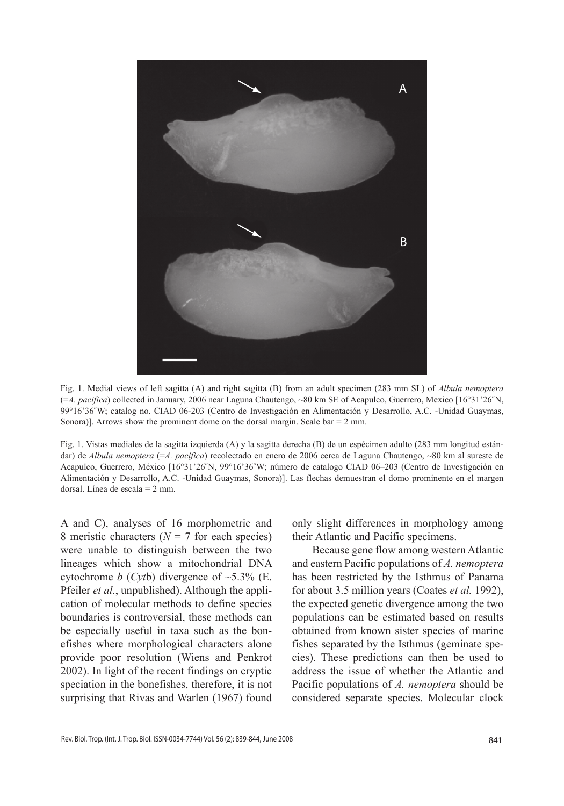

Fig. 1. Medial views of left sagitta (A) and right sagitta (B) from an adult specimen (283 mm SL) of *Albula nemoptera*  (=*A. pacifica*) collected in January, 2006 near Laguna Chautengo, ~80 km SE of Acapulco, Guerrero, Mexico [16°31'26˝N, 99°16'36˝W; catalog no. CIAD 06-203 (Centro de Investigación en Alimentación y Desarrollo, A.C. -Unidad Guaymas, Sonora)]. Arrows show the prominent dome on the dorsal margin. Scale bar  $= 2$  mm.

Fig. 1. Vistas mediales de la sagitta izquierda (A) y la sagitta derecha (B) de un espécimen adulto (283 mm longitud estándar) de *Albula nemoptera* (=*A. pacifica*) recolectado en enero de 2006 cerca de Laguna Chautengo, ~80 km al sureste de Acapulco, Guerrero, México [16°31'26˝N, 99°16'36˝W; número de catalogo CIAD 06–203 (Centro de Investigación en Alimentación y Desarrollo, A.C. -Unidad Guaymas, Sonora)]. Las flechas demuestran el domo prominente en el margen dorsal. Línea de escala = 2 mm.

A and C), analyses of 16 morphometric and 8 meristic characters ( $N = 7$  for each species) were unable to distinguish between the two lineages which show a mitochondrial DNA cytochrome *b* (*Cyt*b) divergence of  $\sim$ 5.3% (E. Pfeiler *et al.*, unpublished). Although the application of molecular methods to define species boundaries is controversial, these methods can be especially useful in taxa such as the bonefishes where morphological characters alone provide poor resolution (Wiens and Penkrot 2002). In light of the recent findings on cryptic speciation in the bonefishes, therefore, it is not surprising that Rivas and Warlen (1967) found only slight differences in morphology among their Atlantic and Pacific specimens.

Because gene flow among western Atlantic and eastern Pacific populations of *A. nemoptera* has been restricted by the Isthmus of Panama for about 3.5 million years (Coates *et al.* 1992), the expected genetic divergence among the two populations can be estimated based on results obtained from known sister species of marine fishes separated by the Isthmus (geminate species). These predictions can then be used to address the issue of whether the Atlantic and Pacific populations of *A. nemoptera* should be considered separate species. Molecular clock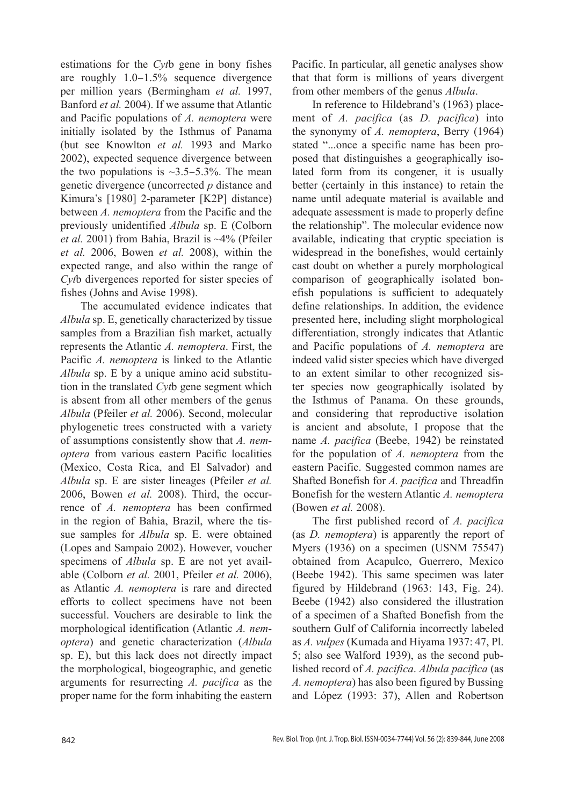estimations for the *Cyt*b gene in bony fishes are roughly 1.0−1.5% sequence divergence per million years (Bermingham *et al.* 1997, Banford *et al.* 2004). If we assume that Atlantic and Pacific populations of *A. nemoptera* were initially isolated by the Isthmus of Panama (but see Knowlton *et al.* 1993 and Marko 2002), expected sequence divergence between the two populations is ~3.5−5.3%. The mean genetic divergence (uncorrected *p* distance and Kimura's [1980] 2-parameter [K2P] distance) between *A. nemoptera* from the Pacific and the previously unidentified *Albula* sp. E (Colborn *et al.* 2001) from Bahia, Brazil is ~4% (Pfeiler *et al.* 2006, Bowen *et al.* 2008), within the expected range, and also within the range of *Cyt*b divergences reported for sister species of fishes (Johns and Avise 1998).

The accumulated evidence indicates that *Albula* sp. E, genetically characterized by tissue samples from a Brazilian fish market, actually represents the Atlantic *A. nemoptera*. First, the Pacific *A. nemoptera* is linked to the Atlantic *Albula* sp. E by a unique amino acid substitution in the translated *Cyt*b gene segment which is absent from all other members of the genus *Albula* (Pfeiler *et al.* 2006). Second, molecular phylogenetic trees constructed with a variety of assumptions consistently show that *A. nemoptera* from various eastern Pacific localities (Mexico, Costa Rica, and El Salvador) and *Albula* sp. E are sister lineages (Pfeiler *et al.* 2006, Bowen *et al.* 2008). Third, the occurrence of *A. nemoptera* has been confirmed in the region of Bahia, Brazil, where the tissue samples for *Albula* sp. E. were obtained (Lopes and Sampaio 2002). However, voucher specimens of *Albula* sp. E are not yet available (Colborn *et al.* 2001, Pfeiler *et al.* 2006), as Atlantic *A. nemoptera* is rare and directed efforts to collect specimens have not been successful. Vouchers are desirable to link the morphological identification (Atlantic *A. nemoptera*) and genetic characterization (*Albula* sp. E), but this lack does not directly impact the morphological, biogeographic, and genetic arguments for resurrecting *A. pacifica* as the proper name for the form inhabiting the eastern Pacific. In particular, all genetic analyses show that that form is millions of years divergent from other members of the genus *Albula*.

In reference to Hildebrand's (1963) placement of *A. pacifica* (as *D. pacifica*) into the synonymy of *A. nemoptera*, Berry (1964) stated "...once a specific name has been proposed that distinguishes a geographically isolated form from its congener, it is usually better (certainly in this instance) to retain the name until adequate material is available and adequate assessment is made to properly define the relationship". The molecular evidence now available, indicating that cryptic speciation is widespread in the bonefishes, would certainly cast doubt on whether a purely morphological comparison of geographically isolated bonefish populations is sufficient to adequately define relationships. In addition, the evidence presented here, including slight morphological differentiation, strongly indicates that Atlantic and Pacific populations of *A. nemoptera* are indeed valid sister species which have diverged to an extent similar to other recognized sister species now geographically isolated by the Isthmus of Panama. On these grounds, and considering that reproductive isolation is ancient and absolute, I propose that the name *A. pacifica* (Beebe, 1942) be reinstated for the population of *A. nemoptera* from the eastern Pacific. Suggested common names are Shafted Bonefish for *A. pacifica* and Threadfin Bonefish for the western Atlantic *A. nemoptera* (Bowen *et al.* 2008).

The first published record of *A. pacifica* (as *D. nemoptera*) is apparently the report of Myers (1936) on a specimen (USNM 75547) obtained from Acapulco, Guerrero, Mexico (Beebe 1942). This same specimen was later figured by Hildebrand (1963: 143, Fig. 24). Beebe (1942) also considered the illustration of a specimen of a Shafted Bonefish from the southern Gulf of California incorrectly labeled as *A. vulpes* (Kumada and Hiyama 1937: 47, Pl. 5; also see Walford 1939), as the second published record of *A. pacifica*. *Albula pacifica* (as *A. nemoptera*) has also been figured by Bussing and López (1993: 37), Allen and Robertson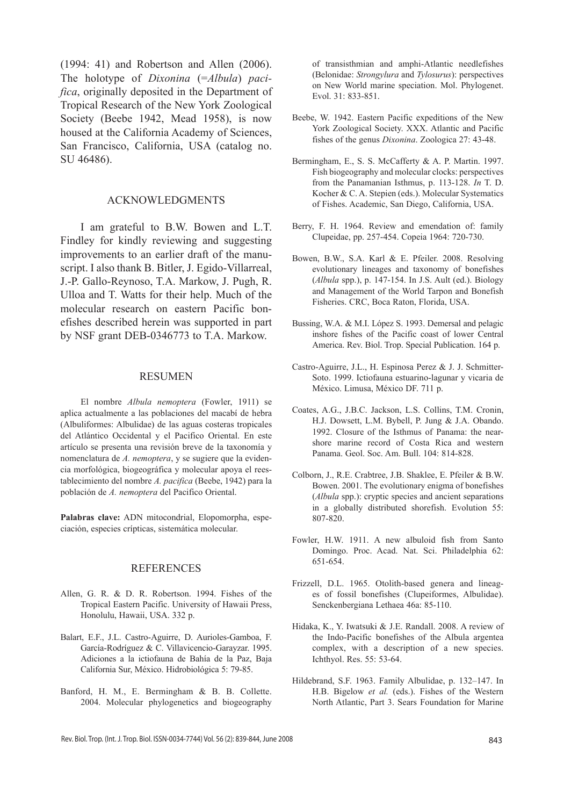(1994: 41) and Robertson and Allen (2006). The holotype of *Dixonina* (=*Albula*) *pacifica*, originally deposited in the Department of Tropical Research of the New York Zoological Society (Beebe 1942, Mead 1958), is now housed at the California Academy of Sciences, San Francisco, California, USA (catalog no. SU 46486).

# Acknowledgments

I am grateful to B.W. Bowen and L.T. Findley for kindly reviewing and suggesting improvements to an earlier draft of the manuscript. I also thank B. Bitler, J. Egido-Villarreal, J.-P. Gallo-Reynoso, T.A. Markow, J. Pugh, R. Ulloa and T. Watts for their help. Much of the molecular research on eastern Pacific bonefishes described herein was supported in part by NSF grant DEB-0346773 to T.A. Markow.

#### Resumen

El nombre *Albula nemoptera* (Fowler, 1911) se aplica actualmente a las poblaciones del macabí de hebra (Albuliformes: Albulidae) de las aguas costeras tropicales del Atlántico Occidental y el Pacifico Oriental. En este artículo se presenta una revisión breve de la taxonomía y nomenclatura de *A. nemoptera*, y se sugiere que la evidencia morfológica, biogeográfica y molecular apoya el reestablecimiento del nombre *A. pacifica* (Beebe, 1942) para la población de *A. nemoptera* del Pacifico Oriental.

**Palabras clave:** ADN mitocondrial, Elopomorpha, especiación, especies crípticas, sistemática molecular.

## **REFERENCES**

- Allen, G. R. & D. R. Robertson. 1994. Fishes of the Tropical Eastern Pacific. University of Hawaii Press, Honolulu, Hawaii, USA. 332 p.
- Balart, E.F., J.L. Castro-Aguirre, D. Aurioles-Gamboa, F. García-Rodríguez & C. Villavicencio-Garayzar. 1995. Adiciones a la ictiofauna de Bahía de la Paz, Baja California Sur, México. Hidrobiológica 5: 79-85.
- Banford, H. M., E. Bermingham & B. B. Collette. 2004. Molecular phylogenetics and biogeography

of transisthmian and amphi-Atlantic needlefishes (Belonidae: *Strongylura* and *Tylosurus*): perspectives on New World marine speciation. Mol. Phylogenet. Evol. 31: 833-851.

- Beebe, W. 1942. Eastern Pacific expeditions of the New York Zoological Society. XXX. Atlantic and Pacific fishes of the genus *Dixonina*. Zoologica 27: 43-48.
- Bermingham, E., S. S. McCafferty & A. P. Martin. 1997. Fish biogeography and molecular clocks: perspectives from the Panamanian Isthmus, p. 113-128. *In* T. D. Kocher & C. A. Stepien (eds.). Molecular Systematics of Fishes. Academic, San Diego, California, USA.
- Berry, F. H. 1964. Review and emendation of: family Clupeidae, pp. 257-454. Copeia 1964: 720-730.
- Bowen, B.W., S.A. Karl & E. Pfeiler. 2008. Resolving evolutionary lineages and taxonomy of bonefishes (*Albula* spp.), p. 147-154. In J.S. Ault (ed.). Biology and Management of the World Tarpon and Bonefish Fisheries. CRC, Boca Raton, Florida, USA.
- Bussing, W.A. & M.I. López S. 1993. Demersal and pelagic inshore fishes of the Pacific coast of lower Central America. Rev. Biol. Trop. Special Publication. 164 p.
- Castro-Aguirre, J.L., H. Espinosa Perez & J. J. Schmitter-Soto. 1999. Ictiofauna estuarino-lagunar y vicaria de México. Limusa, México DF. 711 p.
- Coates, A.G., J.B.C. Jackson, L.S. Collins, T.M. Cronin, H.J. Dowsett, L.M. Bybell, P. Jung & J.A. Obando. 1992. Closure of the Isthmus of Panama: the nearshore marine record of Costa Rica and western Panama. Geol. Soc. Am. Bull. 104: 814-828.
- Colborn, J., R.E. Crabtree, J.B. Shaklee, E. Pfeiler & B.W. Bowen. 2001. The evolutionary enigma of bonefishes (*Albula* spp.): cryptic species and ancient separations in a globally distributed shorefish. Evolution 55: 807-820.
- Fowler, H.W. 1911. A new albuloid fish from Santo Domingo. Proc. Acad. Nat. Sci. Philadelphia 62: 651-654.
- Frizzell, D.L. 1965. Otolith-based genera and lineages of fossil bonefishes (Clupeiformes, Albulidae). Senckenbergiana Lethaea 46a: 85-110.
- Hidaka, K., Y. Iwatsuki & J.E. Randall. 2008. A review of the Indo-Pacific bonefishes of the Albula argentea complex, with a description of a new species. Ichthyol. Res. 55: 53-64.
- Hildebrand, S.F. 1963. Family Albulidae, p. 132–147. In H.B. Bigelow *et al.* (eds.). Fishes of the Western North Atlantic, Part 3. Sears Foundation for Marine